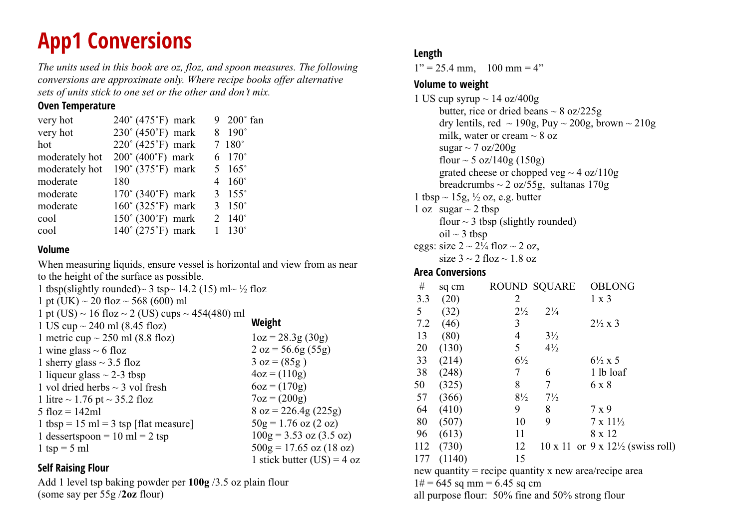## **App1 Conversions**

*The units used in this book are oz, floz, and spoon measures. The following conversions are approximate only. Where recipe books offer alternative sets of units stick to one set or the other and don't mix.*

### **Oven Temperature**

| 240° (475°F) mark                     |                | 9 200° fan          |
|---------------------------------------|----------------|---------------------|
| 230° (450°F) mark                     |                | $190^\circ$         |
| $220^{\circ}$ (425 $^{\circ}$ F) mark |                | $7~180^\circ$       |
| 200° (400°F) mark                     |                | 6 $170^{\circ}$     |
| 190° (375°F) mark                     |                | 5 $165^{\circ}$     |
| 180                                   | $\overline{4}$ | $160^\circ$         |
| $170^{\circ}$ (340 $^{\circ}$ F) mark | 3              | $155^\circ$         |
| $160^\circ$ (325°F) mark              | 3              | $150^\circ$         |
| $150^\circ$ (300°F) mark              |                | $2 \quad 140^\circ$ |
| $140^{\circ}$ (275 $^{\circ}$ F) mark |                | $130^\circ$         |
|                                       |                |                     |

### **Volume**

When measuring liquids, ensure vessel is horizontal and view from as near to the height of the surface as possible.

1 tbsp(slightly rounded) $\sim$  3 tsp $\sim$  14.2 (15) ml $\sim$  ½ floz 1 pt (UK)  $\sim$  20 floz  $\sim$  568 (600) ml 1 pt (US)  $\sim$  16 floz  $\sim$  2 (US) cups  $\sim$  454(480) ml 1 US cup  $\sim$  240 ml (8.45 floz) 1 metric cup  $\sim$  250 ml (8.8 floz) 1 wine glass  $\sim$  6 floz 1 sherry glass  $\sim$  3.5 floz 1 liqueur glass  $\sim$  2-3 tbsp 1 vol dried herbs  $\sim$  3 vol fresh 1 litre  $\sim$  1.76 pt  $\sim$  35.2 floz 5  $flog = 142ml$ 1 tbsp =  $15$  ml =  $3$  tsp [flat measure] 1 dessertspoon =  $10 \text{ ml} = 2 \text{ tsp}$ 1 tsp =  $5$  ml **Weight**  $1oz = 28.3g(30g)$  $2 oz = 56.6g(55g)$  $3 oz = (85g)$  $4oz = (110g)$  $6oz = (170g)$  $7oz = (200g)$  $8$  oz = 226.4g (225g)  $50g = 1.76$  oz  $(2 \text{ oz})$  $100g = 3.53$  oz  $(3.5$  oz)  $500g = 17.65$  oz  $(18 \text{ oz})$ 1 stick butter  $(US) = 4 oz$ 

### **Self Raising Flour**

Add 1 level tsp baking powder per **100g** /3.5 oz plain flour (some say per 55g /**2oz** flour)

### **Length**

 $1" = 25.4$  mm,  $100$  mm = 4"

### **Volume to weight**

```
1 US cup syrup \sim 14 oz/400g
      butter, rice or dried beans \sim 8 oz/225g
      dry lentils, red \sim 190g, Puy \sim 200g, brown \sim 210g
      milk, water or cream \sim 8 oz
      sugar \sim 7 oz/200g
      flour \sim 5 oz/140g (150g)
      grated cheese or chopped veg \sim 4 oz/110g
      breadcrumbs \sim 2 oz/55g, sultanas 170g
1 tbsp \sim 15g, \frac{1}{2} oz, e.g. butter
1 oz sugar \sim 2 tbsp
      flour \sim 3 tbsp (slightly rounded)
      oil \sim 3 tbsp
eggs: size 2 \sim 2\frac{1}{4} floz \sim 2 oz,
      size 3 \sim 2 floz \sim 1.8 oz
Area Conversions
```

| #   | sq cm                            | <b>ROUND SQUARE</b> |                | <b>OBLONG</b>                                           |
|-----|----------------------------------|---------------------|----------------|---------------------------------------------------------|
| 3.3 | (20)                             | 2                   |                | $1 \times 3$                                            |
| 5   | (32)                             | $2\frac{1}{2}$      | $2\frac{1}{4}$ |                                                         |
| 7.2 | (46)                             | 3                   |                | $2\frac{1}{2} \times 3$                                 |
| 13  | (80)                             | 4                   | $3\frac{1}{2}$ |                                                         |
| 20  | (130)                            | 5                   | $4\frac{1}{2}$ |                                                         |
| 33  | (214)                            | $6\frac{1}{2}$      |                | $6\frac{1}{2} x 5$                                      |
| 38  | (248)                            | 7                   | 6              | 1 lb loaf                                               |
| 50  | (325)                            | 8                   | 7              | 6 x 8                                                   |
| 57  | (366)                            | $8\frac{1}{2}$      | $7\frac{1}{2}$ |                                                         |
| 64  | (410)                            | 9                   | 8              | 7 x 9                                                   |
| 80  | (507)                            | 10                  | 9              | $7 \times 11\frac{1}{2}$                                |
| 96  | (613)                            | 11                  |                | 8 x 12                                                  |
| 112 | (730)                            | 12                  |                | $10 \times 11$ or $9 \times 12\frac{1}{2}$ (swiss roll) |
| 177 | (1140)                           | 15                  |                |                                                         |
|     |                                  |                     |                | new quantity = recipe quantity x new area/recipe area   |
|     | $1\#$ = 6.45 sq m m = 6.45 sq em |                     |                |                                                         |

 $1# = 645$  sq mm = 6.45 sq cm

all purpose flour: 50% fine and 50% strong flour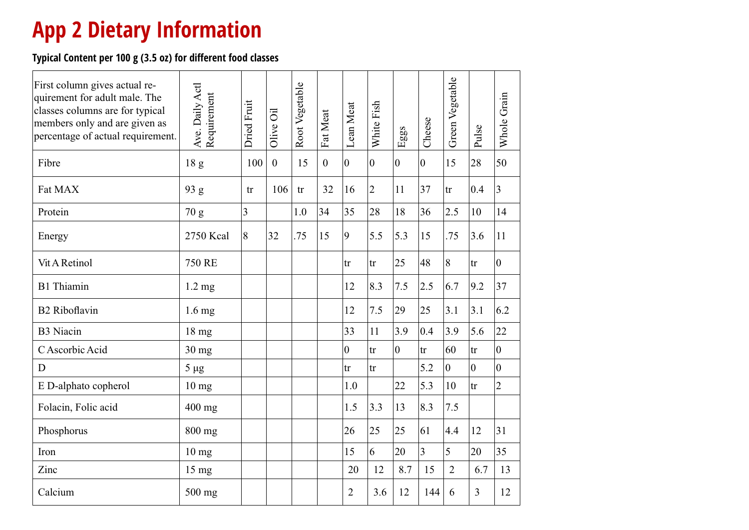## **App 2 Dietary Information**

**Typical Content per 100 g (3.5 oz) for different food classes**

| First column gives actual re-<br>quirement for adult male. The<br>classes columns are for typical<br>members only and are given as<br>percentage of actual requirement. | Ave. Daily Actl<br>Requirement | <b>Dried Fruit</b> | öil<br>Olive     | Root Vegetable | Fat Meat         | Lean Meat      | White Fish     | $_{\rm{Egs}}$    | Cheese         | Green Vegetable | Pulse          | Whole Grain    |
|-------------------------------------------------------------------------------------------------------------------------------------------------------------------------|--------------------------------|--------------------|------------------|----------------|------------------|----------------|----------------|------------------|----------------|-----------------|----------------|----------------|
| Fibre                                                                                                                                                                   | 18 <sub>g</sub>                | 100                | $\boldsymbol{0}$ | 15             | $\boldsymbol{0}$ | $\overline{0}$ | $\overline{0}$ | $\boldsymbol{0}$ | $\overline{0}$ | 15              | 28             | 50             |
| Fat MAX                                                                                                                                                                 | 93 g                           | tr                 | 106              | tr             | 32               | 16             | $\overline{2}$ | 11               | 37             | tr              | 0.4            | 3              |
| Protein                                                                                                                                                                 | 70 g                           | $\overline{3}$     |                  | 1.0            | 34               | 35             | 28             | 18               | 36             | 2.5             | 10             | 14             |
| Energy                                                                                                                                                                  | 2750 Kcal                      | 8                  | 32               | .75            | 15               | 9              | 5.5            | 5.3              | 15             | .75             | 3.6            | 11             |
| Vit A Retinol                                                                                                                                                           | <b>750 RE</b>                  |                    |                  |                |                  | tr             | tr             | 25               | 48             | 8               | tr             | $\overline{0}$ |
| <b>B1</b> Thiamin                                                                                                                                                       | $1.2 \text{ mg}$               |                    |                  |                |                  | 12             | 8.3            | 7.5              | 2.5            | 6.7             | 9.2            | 37             |
| <b>B2</b> Riboflavin                                                                                                                                                    | $1.6 \text{ mg}$               |                    |                  |                |                  | 12             | 7.5            | 29               | 25             | 3.1             | 3.1            | 6.2            |
| <b>B3</b> Niacin                                                                                                                                                        | 18 mg                          |                    |                  |                |                  | 33             | 11             | 3.9              | 0.4            | 3.9             | 5.6            | 22             |
| C Ascorbic Acid                                                                                                                                                         | $30$ mg                        |                    |                  |                |                  | $\overline{0}$ | tr             | $\overline{0}$   | tr             | 60              | tr             | $\overline{0}$ |
| D                                                                                                                                                                       | $5 \mu g$                      |                    |                  |                |                  | tr             | tr             |                  | 5.2            | $\overline{0}$  | $\overline{0}$ | $\overline{0}$ |
| E D-alphato copherol                                                                                                                                                    | $10 \text{ mg}$                |                    |                  |                |                  | 1.0            |                | 22               | 5.3            | 10              | tr             | $\overline{2}$ |
| Folacin, Folic acid                                                                                                                                                     | 400 mg                         |                    |                  |                |                  | 1.5            | 3.3            | 13               | 8.3            | 7.5             |                |                |
| Phosphorus                                                                                                                                                              | 800 mg                         |                    |                  |                |                  | 26             | 25             | 25               | 61             | 4.4             | 12             | 31             |
| Iron                                                                                                                                                                    | 10 <sub>mg</sub>               |                    |                  |                |                  | 15             | 6              | 20               | $\overline{3}$ | 5               | 20             | 35             |
| Zinc                                                                                                                                                                    | 15 mg                          |                    |                  |                |                  | 20             | 12             | 8.7              | 15             | $\overline{2}$  | 6.7            | 13             |
| Calcium                                                                                                                                                                 | 500 mg                         |                    |                  |                |                  | 2              | 3.6            | 12               | 144            | 6               | 3              | 12             |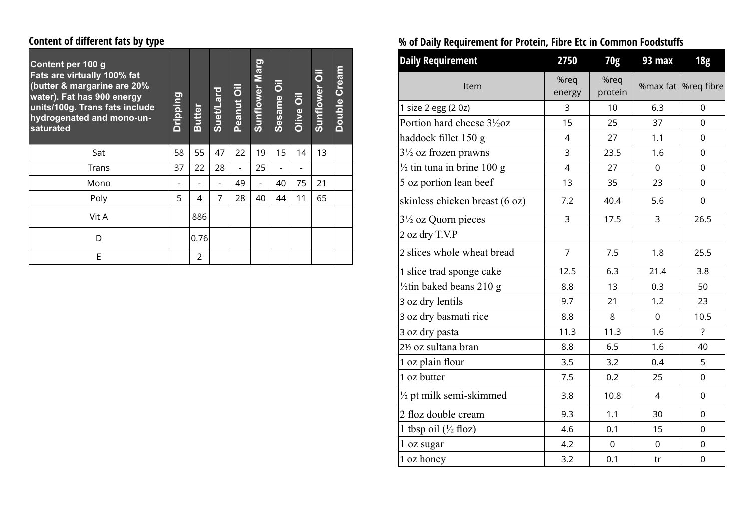### **Content of different fats by type**

| Content per 100 g<br>Fats are virtually 100% fat<br>(butter & margarine are 20%<br>water). Fat has 900 energy<br>units/100g. Trans fats include<br>hydrogenated and mono-un-<br>saturated | Dripping | <b>Butter</b> | Suet/Lard | Peanut Oil | <b>Sunflower Marg</b> | $\overline{\overline{o}}$<br><b>Sesame</b> | $\overline{\overline{o}}$<br><b>Olive</b> | $\overline{\overline{6}}$<br>Sunflower | Cream<br><b>Double</b> |
|-------------------------------------------------------------------------------------------------------------------------------------------------------------------------------------------|----------|---------------|-----------|------------|-----------------------|--------------------------------------------|-------------------------------------------|----------------------------------------|------------------------|
| Sat                                                                                                                                                                                       | 58       | 55            | 47        | 22         | 19                    | 15                                         | 14                                        | 13                                     |                        |
| Trans                                                                                                                                                                                     | 37       | 22            | 28        |            | 25                    |                                            |                                           |                                        |                        |
| Mono                                                                                                                                                                                      |          |               |           | 49         |                       | 40                                         | 75                                        | 21                                     |                        |
| Poly                                                                                                                                                                                      | 5        | 4             | 7         | 28         | 40                    | 44                                         | 11                                        | 65                                     |                        |
| Vit A                                                                                                                                                                                     |          | 886           |           |            |                       |                                            |                                           |                                        |                        |
| D                                                                                                                                                                                         |          | 0.76          |           |            |                       |                                            |                                           |                                        |                        |
| E                                                                                                                                                                                         |          | 2             |           |            |                       |                                            |                                           |                                        |                        |

### **% of Daily Requirement for Protein, Fibre Etc in Common Foodstuffs**

| <b>Daily Requirement</b>                             | 2750           | 70g             | 93 max      | <b>18g</b>       |
|------------------------------------------------------|----------------|-----------------|-------------|------------------|
| Item                                                 | %req<br>energy | %req<br>protein | % $max$ fat | %req fibre       |
| 1 size 2 egg (2 0z)                                  | 3              | 10              | 6.3         | 0                |
| Portion hard cheese 3 <sup>1</sup> / <sub>2</sub> 0z | 15             | 25              | 37          | 0                |
| haddock fillet 150 g                                 | 4              | 27              | 1.1         | 0                |
| $3\frac{1}{2}$ oz frozen prawns                      | 3              | 23.5            | 1.6         | $\overline{0}$   |
| $\frac{1}{2}$ tin tuna in brine 100 g                | $\overline{4}$ | 27              | 0           | 0                |
| 5 oz portion lean beef                               | 13             | 35              | 23          | 0                |
| skinless chicken breast (6 oz)                       | 7.2            | 40.4            | 5.6         | 0                |
| $3\frac{1}{2}$ oz Quorn pieces                       | 3              | 17.5            | 3           | 26.5             |
| 2 oz dry T.V.P                                       |                |                 |             |                  |
| 2 slices whole wheat bread                           | 7              | 7.5             | 1.8         | 25.5             |
| 1 slice trad sponge cake                             | 12.5           | 6.3             | 21.4        | 3.8              |
| $\frac{1}{2}$ tin baked beans 210 g                  | 8.8            | 13              | 0.3         | 50               |
| 3 oz dry lentils                                     | 9.7            | 21              | 1.2         | 23               |
| 3 oz dry basmati rice                                | 8.8            | 8               | 0           | 10.5             |
| 3 oz dry pasta                                       | 11.3           | 11.3            | 1.6         | $\overline{?}$   |
| 2½ oz sultana bran                                   | 8.8            | 6.5             | 1.6         | 40               |
| 1 oz plain flour                                     | 3.5            | 3.2             | 0.4         | 5                |
| 1 oz butter                                          | 7.5            | 0.2             | 25          | $\boldsymbol{0}$ |
| $\frac{1}{2}$ pt milk semi-skimmed                   | 3.8            | 10.8            | 4           | 0                |
| 2 floz double cream                                  | 9.3            | 1.1             | 30          | 0                |
| 1 tbsp oil $(\frac{1}{2}$ floz)                      | 4.6            | 0.1             | 15          | 0                |
| 1 oz sugar                                           | 4.2            | $\mathbf 0$     | $\Omega$    | 0                |
| 1 oz honey                                           | 3.2            | 0.1             | tr          | $\boldsymbol{0}$ |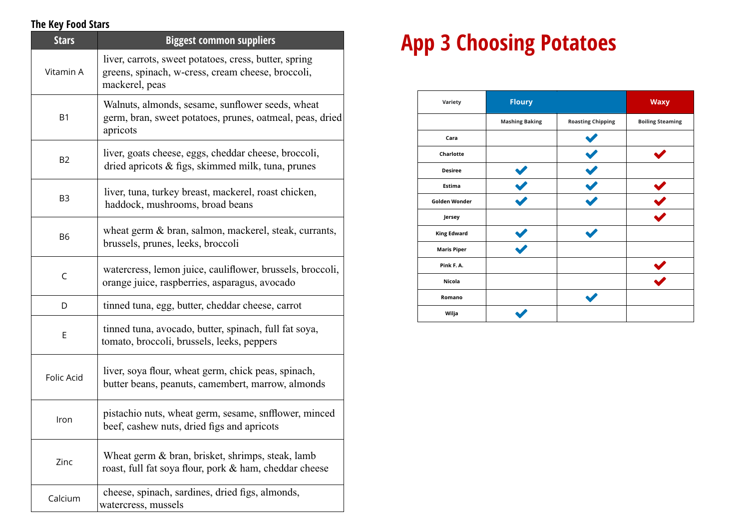### **The Key Food Stars**

| <b>Stars</b>   | <b>Biggest common suppliers</b>                                                                                              |
|----------------|------------------------------------------------------------------------------------------------------------------------------|
| Vitamin A      | liver, carrots, sweet potatoes, cress, butter, spring<br>greens, spinach, w-cress, cream cheese, broccoli,<br>mackerel, peas |
| B <sub>1</sub> | Walnuts, almonds, sesame, sunflower seeds, wheat<br>germ, bran, sweet potatoes, prunes, oatmeal, peas, dried<br>apricots     |
| <b>B2</b>      | liver, goats cheese, eggs, cheddar cheese, broccoli,<br>dried apricots $\&$ figs, skimmed milk, tuna, prunes                 |
| B <sub>3</sub> | liver, tuna, turkey breast, mackerel, roast chicken,<br>haddock, mushrooms, broad beans                                      |
| B <sub>6</sub> | wheat germ & bran, salmon, mackerel, steak, currants,<br>brussels, prunes, leeks, broccoli                                   |
| C              | watercress, lemon juice, cauliflower, brussels, broccoli,<br>orange juice, raspberries, asparagus, avocado                   |
| D              | tinned tuna, egg, butter, cheddar cheese, carrot                                                                             |
| E              | tinned tuna, avocado, butter, spinach, full fat soya,<br>tomato, broccoli, brussels, leeks, peppers                          |
| Folic Acid     | liver, soya flour, wheat germ, chick peas, spinach,<br>butter beans, peanuts, camembert, marrow, almonds                     |
| Iron           | pistachio nuts, wheat germ, sesame, snfflower, minced<br>beef, cashew nuts, dried figs and apricots                          |
| Zinc           | Wheat germ & bran, brisket, shrimps, steak, lamb<br>roast, full fat soya flour, pork & ham, cheddar cheese                   |
| Calcium        | cheese, spinach, sardines, dried figs, almonds,<br>watercress, mussels                                                       |

## **App 3 Choosing Potatoes**

| Variety              | <b>Floury</b>         |                          | <b>Waxy</b>             |
|----------------------|-----------------------|--------------------------|-------------------------|
|                      | <b>Mashing Baking</b> | <b>Roasting Chipping</b> | <b>Boiling Steaming</b> |
| Cara                 |                       |                          |                         |
| Charlotte            |                       |                          |                         |
| <b>Desiree</b>       |                       |                          |                         |
| <b>Estima</b>        |                       |                          |                         |
| <b>Golden Wonder</b> |                       |                          |                         |
| Jersey               |                       |                          |                         |
| <b>King Edward</b>   |                       |                          |                         |
| <b>Maris Piper</b>   |                       |                          |                         |
| Pink F.A.            |                       |                          |                         |
| Nicola               |                       |                          |                         |
| Romano               |                       |                          |                         |
| Wilja                |                       |                          |                         |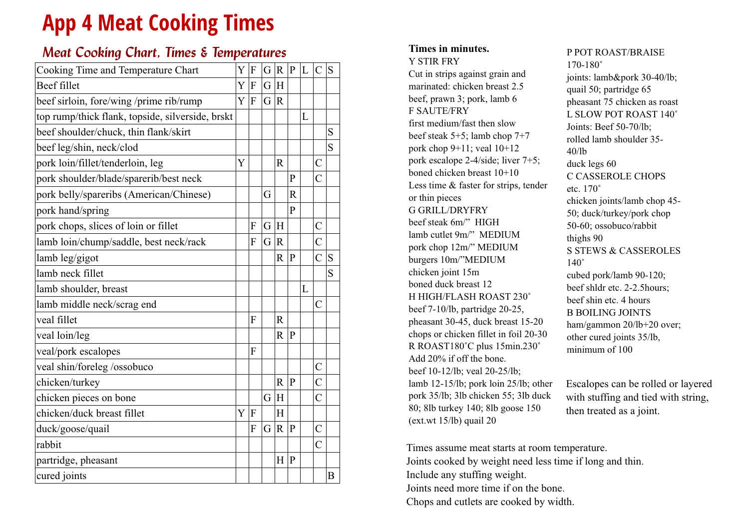## **App 4 Meat Cooking Times**

### *Meat Cooking Chart, Times & Temperatures*

| Cooking Time and Temperature Chart               | Y | F                | G | $\overline{R}$ | P            | L | $\mathcal{C}$      | S         |
|--------------------------------------------------|---|------------------|---|----------------|--------------|---|--------------------|-----------|
| <b>Beef fillet</b>                               | Y | $\boldsymbol{F}$ | G | H              |              |   |                    |           |
| beef sirloin, fore/wing /prime rib/rump          | Y | F                | G | $\mathbf R$    |              |   |                    |           |
| top rump/thick flank, topside, silverside, brskt |   |                  |   |                |              | L |                    |           |
| beef shoulder/chuck, thin flank/skirt            |   |                  |   |                |              |   |                    | ${\bf S}$ |
| beef leg/shin, neck/clod                         |   |                  |   |                |              |   |                    | S         |
| pork loin/fillet/tenderloin, leg                 | Y |                  |   | R              |              |   | $\overline{C}$     |           |
| pork shoulder/blade/sparerib/best neck           |   |                  |   |                | P            |   | $\overline{C}$     |           |
| pork belly/spareribs (American/Chinese)          |   |                  | G |                | R            |   |                    |           |
| pork hand/spring                                 |   |                  |   |                | $\mathbf{P}$ |   |                    |           |
| pork chops, slices of loin or fillet             |   | F                | G | H              |              |   | $\overline{\rm C}$ |           |
| lamb loin/chump/saddle, best neck/rack           |   | F                | G | $\mathbf R$    |              |   | $\overline{C}$     |           |
| lamb leg/gigot                                   |   |                  |   | $\overline{R}$ | P            |   | $\overline{C}$     | S         |
| lamb neck fillet                                 |   |                  |   |                |              |   |                    | S         |
| lamb shoulder, breast                            |   |                  |   |                |              | L |                    |           |
| lamb middle neck/scrag end                       |   |                  |   |                |              |   | $\overline{C}$     |           |
| veal fillet                                      |   | F                |   | $\mathbb{R}$   |              |   |                    |           |
| veal loin/leg                                    |   |                  |   | R              | ∣P           |   |                    |           |
| veal/pork escalopes                              |   | F                |   |                |              |   |                    |           |
| veal shin/foreleg/ossobuco                       |   |                  |   |                |              |   | $\overline{\rm C}$ |           |
| chicken/turkey                                   |   |                  |   | R              | P            |   | $\overline{\rm C}$ |           |
| chicken pieces on bone                           |   |                  | G | H              |              |   | $\overline{C}$     |           |
| chicken/duck breast fillet                       | Y | $\boldsymbol{F}$ |   | H              |              |   |                    |           |
| duck/goose/quail                                 |   | F                | G | $\mathbf R$    | ∣P           |   | $\overline{C}$     |           |
| rabbit                                           |   |                  |   |                |              |   | $\overline{C}$     |           |
| partridge, pheasant                              |   |                  |   | H              | P            |   |                    |           |
| cured joints                                     |   |                  |   |                |              |   |                    | B         |
|                                                  |   |                  |   |                |              |   |                    |           |

#### **Times in minutes.** Y STIR FRY

Cut in strips against grain and marinated: chicken breast 2.5 beef, prawn 3; pork, lamb 6 F SAUTE/FRY first medium/fast then slow beef steak 5+5; lamb chop 7+7 pork chop 9+11; veal 10+12 pork escalope 2-4/side; liver 7+5; boned chicken breast 10+10 Less time & faster for strips, tender or thin pieces G GRILL/DRYFRY beef steak 6m/" HIGH lamb cutlet 9m/" MEDIUM pork chop 12m/" MEDIUM burgers 10m/"MEDIUM chicken joint 15m boned duck breast 12 H HIGH/FLASH ROAST 230˚ beef 7-10/lb, partridge 20-25, pheasant 30-45, duck breast 15-20 chops or chicken fillet in foil 20-30 R ROAST180˚C plus 15min.230˚ Add 20% if off the bone. beef 10-12/lb; veal 20-25/lb; lamb 12-15/lb; pork loin 25/lb; other pork 35/lb; 3lb chicken 55; 3lb duck 80; 8lb turkey 140; 8lb goose 150 (ext.wt 15/lb) quail 20

P POT ROAST/BRAISE 170-180˚ joints: lamb&pork 30-40/lb; quail 50; partridge 65 pheasant 75 chicken as roast L SLOW POT ROAST 140˚ Joints: Beef 50-70/lb; rolled lamb shoulder 35- 40/lb duck legs 60 C CASSEROLE CHOPS etc. 170˚ chicken joints/lamb chop 45- 50; duck/turkey/pork chop 50-60; ossobuco/rabbit thighs 90 S STEWS & CASSEROLES 140˚ cubed pork/lamb 90-120; beef shldr etc. 2-2.5hours; beef shin etc. 4 hours B BOILING JOINTS ham/gammon 20/lb+20 over; other cured joints 35/lb, minimum of 100

Escalopes can be rolled or layered with stuffing and tied with string, then treated as a joint.

Times assume meat starts at room temperature. Joints cooked by weight need less time if long and thin. Include any stuffing weight. Joints need more time if on the bone. Chops and cutlets are cooked by width.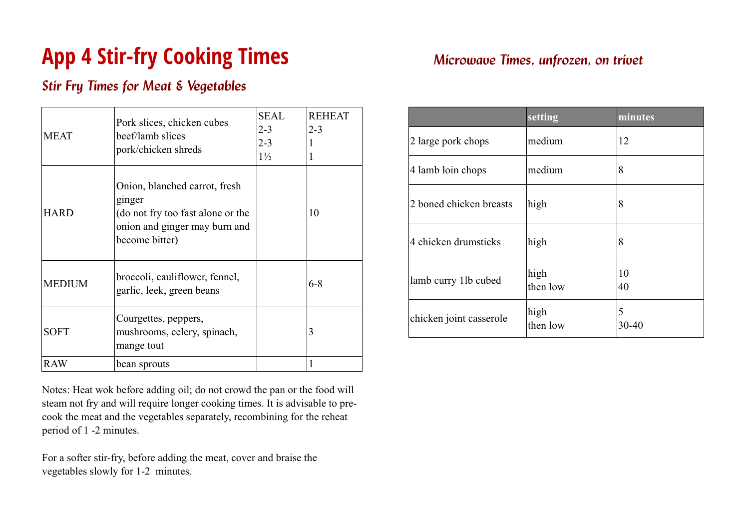## **App 4 Stir-fry Cooking Times**

### *Stir Fry Times for Meat & Vegetables*

| <b>MEAT</b>   | Pork slices, chicken cubes<br>beef/lamb slices<br>pork/chicken shreds                                                           | <b>SEAL</b><br>$2 - 3$<br>$2 - 3$<br>$1\frac{1}{2}$ | <b>REHEAT</b><br>$2 - 3$<br>1 |
|---------------|---------------------------------------------------------------------------------------------------------------------------------|-----------------------------------------------------|-------------------------------|
| <b>HARD</b>   | Onion, blanched carrot, fresh<br>ginger<br>(do not fry too fast alone or the<br>onion and ginger may burn and<br>become bitter) |                                                     | 10                            |
| <b>MEDIUM</b> | broccoli, cauliflower, fennel,<br>garlic, leek, green beans                                                                     |                                                     | $6 - 8$                       |
| <b>SOFT</b>   | Courgettes, peppers,<br>mushrooms, celery, spinach,<br>mange tout                                                               |                                                     | 3                             |
| RAW           | bean sprouts                                                                                                                    |                                                     | 1                             |

Notes: Heat wok before adding oil; do not crowd the pan or the food will steam not fry and will require longer cooking times. It is advisable to precook the meat and the vegetables separately, recombining for the reheat period of 1 -2 minutes.

For a softer stir-fry, before adding the meat, cover and braise the vegetables slowly for 1-2 minutes.

### *Microwave Times, unfrozen, on trivet*

|                         | setting          | minutes    |
|-------------------------|------------------|------------|
| 2 large pork chops      | medium           | 12         |
| 4 lamb loin chops       | medium           | 8          |
| 2 boned chicken breasts | high             | 8          |
| 4 chicken drumsticks    | high             | 8          |
| lamb curry 11b cubed    | high<br>then low | 10<br>40   |
| chicken joint casserole | high<br>then low | 5<br>30-40 |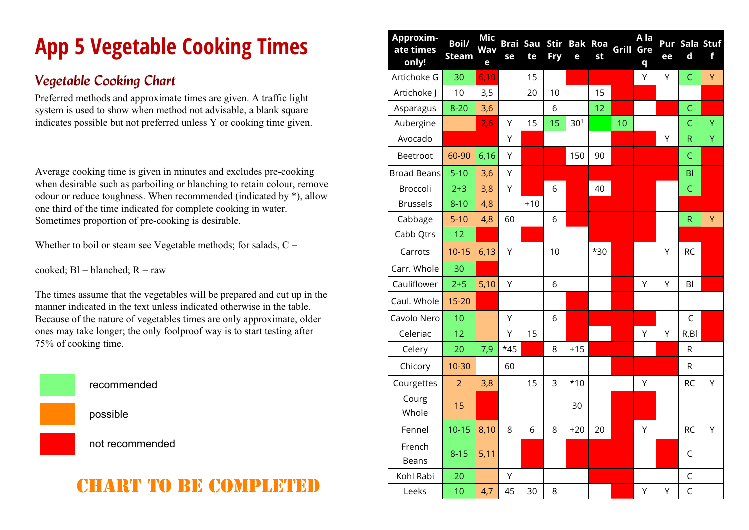# **App 5 Vegetable Cooking Times**

### *Vegetable Cooking Chart*

Preferred methods and approximate times are given. A traffic light system is used to show when method not advisable, a blank square indicates possible but not preferred unless Y or cooking time given.

Average cooking time is given in minutes and excludes pre-cooking when desirable such as parboiling or blanching to retain colour, remove odour or reduce toughness. When recommended (indicated by \*), allow one third of the time indicated for complete cooking in water. Sometimes proportion of pre-cooking is desirable.

Whether to boil or steam see Vegetable methods; for salads,  $C =$ 

cooked;  $BI = blanched$ ;  $R = raw$ 

The times assume that the vegetables will be prepared and cut up in the manner indicated in the text unless indicated otherwise in the table. Because of the nature of vegetables times are only approximate, older ones may take longer; the only foolproof way is to start testing after 75% of cooking time.



recommended

possible

not recommended

## chart to be completed

| Approxim-<br>ate times<br>only! | Boil/<br><b>Steam</b> | Mic<br><b>Wav</b><br>e | <b>Brai Sau</b><br>se | te    | <b>Stir</b><br>Fry | е               | <b>Bak Roa</b><br>st | Grill | A la<br>Gre<br>q | Pur<br>ee | $\mathbf d$    | Sala Stuf<br>f |
|---------------------------------|-----------------------|------------------------|-----------------------|-------|--------------------|-----------------|----------------------|-------|------------------|-----------|----------------|----------------|
| Artichoke G                     | 30                    | 6,10                   |                       | 15    |                    |                 |                      |       | Υ                | Υ         | $\mathsf C$    | Y              |
| Artichoke J                     | 10                    | 3,5                    |                       | 20    | 10                 |                 | 15                   |       |                  |           |                |                |
| Asparagus                       | $8 - 20$              | 3,6                    |                       |       | 6                  |                 | 12                   |       |                  |           | $\mathsf{C}$   |                |
| Aubergine                       |                       | 2,6                    | Υ                     | 15    | 15                 | 30 <sup>1</sup> |                      | 10    |                  |           | $\overline{C}$ | Y              |
| Avocado                         |                       |                        | Υ                     |       |                    |                 |                      |       |                  | Υ         | $\mathsf R$    | Ÿ              |
| Beetroot                        | 60-90                 | 6,16                   | Υ                     |       |                    | 150             | 90                   |       |                  |           | $\mathsf C$    |                |
| <b>Broad Beans</b>              | $5-10$                | 3,6                    | Y                     |       |                    |                 |                      |       |                  |           | B <sub>l</sub> |                |
| Broccoli                        | $2 + 3$               | 3,8                    | Υ                     |       | 6                  |                 | 40                   |       |                  |           | $\mathsf C$    |                |
| <b>Brussels</b>                 | $8 - 10$              | 4,8                    |                       | $+10$ |                    |                 |                      |       |                  |           |                |                |
| Cabbage                         | $5 - 10$              | 4,8                    | 60                    |       | 6                  |                 |                      |       |                  |           | ${\sf R}$      | Y              |
| Cabb Qtrs                       | 12                    |                        |                       |       |                    |                 |                      |       |                  |           |                |                |
| Carrots                         | $10 - 15$             | 6,13                   | Υ                     |       | 10                 |                 | $*30$                |       |                  | Υ         | <b>RC</b>      |                |
| Carr. Whole                     | 30                    |                        |                       |       |                    |                 |                      |       |                  |           |                |                |
| Cauliflower                     | $2 + 5$               | 5,10                   | Υ                     |       | 6                  |                 |                      |       | Υ                | Y         | B <sub>l</sub> |                |
| Caul. Whole                     | $15 - 20$             |                        |                       |       |                    |                 |                      |       |                  |           |                |                |
| Cavolo Nero                     | 10                    |                        | Υ                     |       | 6                  |                 |                      |       |                  |           | $\mathsf C$    |                |
| Celeriac                        | 12                    |                        | Υ                     | 15    |                    |                 |                      |       | Υ                | Υ         | R,BI           |                |
| Celery                          | 20                    | 7,9                    | $*45$                 |       | 8                  | $+15$           |                      |       |                  |           | R              |                |
| Chicory                         | 10-30                 |                        | 60                    |       |                    |                 |                      |       |                  |           | ${\sf R}$      |                |
| Courgettes                      | $\overline{2}$        | 3,8                    |                       | 15    | 3                  | $*10$           |                      |       | Υ                |           | <b>RC</b>      | Υ              |
| Courg<br>Whole                  | 15                    |                        |                       |       |                    | 30              |                      |       |                  |           |                |                |
| Fennel                          | $10 - 15$             | 8,10                   | 8                     | 6     | 8                  | $+20$           | 20                   |       | Υ                |           | <b>RC</b>      | Y              |
| French<br><b>Beans</b>          | $8 - 15$              | 5,11                   |                       |       |                    |                 |                      |       |                  |           | $\mathsf C$    |                |
| Kohl Rabi                       | 20                    |                        | Υ                     |       |                    |                 |                      |       |                  |           | C              |                |
| Leeks                           | 10                    | 4,7                    | 45                    | 30    | 8                  |                 |                      |       | Υ                | Υ         | $\overline{C}$ |                |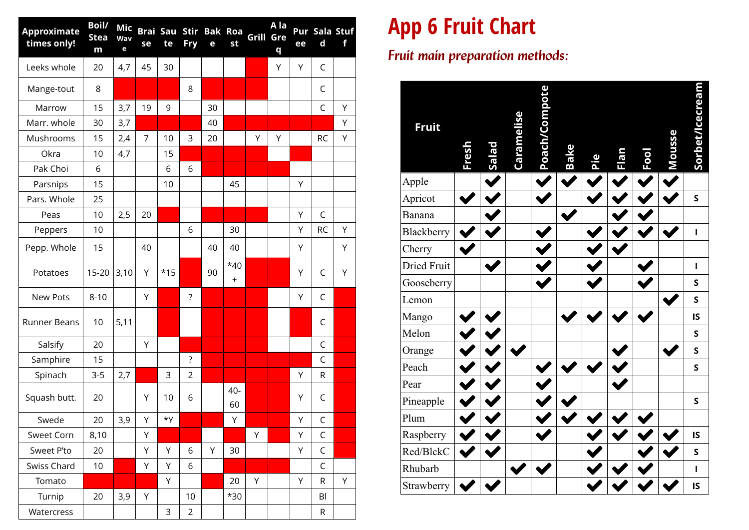| <b>Approximate</b><br>times only! | <b>Boil/</b><br><b>Stea</b><br>m | Mic<br>Wav<br>e | se             | te    | <b>Fry</b>         | Brai Sau Stir Bak Roa<br>e | st                 | <b>Grill Gre</b> | A la<br>q | ee | Pur Sala Stuf<br>$\mathbf d$ | f |
|-----------------------------------|----------------------------------|-----------------|----------------|-------|--------------------|----------------------------|--------------------|------------------|-----------|----|------------------------------|---|
| Leeks whole                       | 20                               | 4,7             | 45             | 30    |                    |                            |                    |                  | Υ         | Υ  | C                            |   |
| Mange-tout                        | 8                                |                 |                |       | 8                  |                            |                    |                  |           |    | C                            |   |
| Marrow                            | 15                               | 3,7             | 19             | 9     |                    | 30                         |                    |                  |           |    | C                            | Y |
| Marr. whole                       | 30                               | 3,7             |                |       |                    | 40                         |                    |                  |           |    |                              | Υ |
| Mushrooms                         | 15                               | 2,4             | $\overline{7}$ | 10    | 3                  | 20                         |                    | Y                | Υ         |    | <b>RC</b>                    | Υ |
| Okra                              | 10                               | 4,7             |                | 15    |                    |                            |                    |                  |           |    |                              |   |
| Pak Choi                          | 6                                |                 |                | 6     | 6                  |                            |                    |                  |           |    |                              |   |
| Parsnips                          | 15                               |                 |                | 10    |                    |                            | 45                 |                  |           | Υ  |                              |   |
| Pars. Whole                       | 25                               |                 |                |       |                    |                            |                    |                  |           |    |                              |   |
| Peas                              | 10                               | 2,5             | 20             |       |                    |                            |                    |                  |           | Υ  | C                            |   |
| Peppers                           | 10                               |                 |                |       | 6                  |                            | 30                 |                  |           | Υ  | <b>RC</b>                    | Υ |
| Pepp. Whole                       | 15                               |                 | 40             |       |                    | 40                         | 40                 |                  |           | Υ  |                              | Υ |
| Potatoes                          | $15 - 20$                        | 3,10            | Υ              | $*15$ |                    | 90                         | $*40$<br>$\ddot{}$ |                  |           | Υ  | C                            | Υ |
| <b>New Pots</b>                   | $8 - 10$                         |                 | Υ              |       | $\overline{\cdot}$ |                            |                    |                  |           | Υ  | C                            |   |
| <b>Runner Beans</b>               | 10                               | 5,11            |                |       |                    |                            |                    |                  |           |    | C                            |   |
| Salsify                           | 20                               |                 | Υ              |       |                    |                            |                    |                  |           |    | C                            |   |
| Samphire                          | 15                               |                 |                |       | $\overline{\cdot}$ |                            |                    |                  |           |    | C                            |   |
| Spinach                           | $3 - 5$                          | 2,7             |                | 3     | $\overline{2}$     |                            |                    |                  |           | Y  | R                            |   |
| Squash butt.                      | 20                               |                 | Υ              | 10    | 6                  |                            | 40-<br>60          |                  |           | Υ  | C                            |   |
| Swede                             | 20                               | 3,9             | Υ              | *Y    |                    |                            | Υ                  |                  |           | Υ  | C                            |   |
| Sweet Corn                        | 8,10                             |                 | Υ              |       |                    |                            |                    | Υ                |           | Υ  | C                            |   |
| Sweet P'to                        | 20                               |                 | Υ              | Υ     | 6                  | Υ                          | 30                 |                  |           | Υ  | $\mathsf C$                  |   |
| Swiss Chard                       | 10                               |                 | Υ              | Υ     | 6                  |                            |                    |                  |           |    | $\mathsf C$                  |   |
| Tomato                            |                                  |                 |                | Y     |                    |                            | 20                 | Υ                |           | Υ  | $\mathsf{R}$                 | Υ |
| Turnip                            | 20                               | 3,9             | Υ              |       | 10                 |                            | $*30$              |                  |           |    | BI                           |   |
| Watercress                        |                                  |                 |                | 3     | $\overline{2}$     |                            |                    |                  |           |    | R                            |   |

## **App 6 Fruit Chart**

*Fruit main preparation methods:*

| <b>Fruit</b> | Fresh | <b>Salad</b> | <b>Caramelise</b> | Poach/Compote | <b>Bake</b> | Pie | <b>CIGLE</b> | Fool | Mousse | Sorbet/Icecream |
|--------------|-------|--------------|-------------------|---------------|-------------|-----|--------------|------|--------|-----------------|
| Apple        |       |              |                   |               |             |     |              |      |        |                 |
| Apricot      |       |              |                   |               |             |     |              |      |        | $\mathsf{s}$    |
| Banana       |       |              |                   |               |             |     |              |      |        |                 |
| Blackberry   |       |              |                   |               |             |     |              |      |        | $\mathbf{I}$    |
| Cherry       |       |              |                   |               |             |     |              |      |        |                 |
| Dried Fruit  |       |              |                   |               |             |     |              |      |        | $\mathbf{I}$    |
| Gooseberry   |       |              |                   |               |             |     |              |      |        | $\mathsf{s}$    |
| Lemon        |       |              |                   |               |             |     |              |      |        | $\mathsf{s}$    |
| Mango        |       |              |                   |               |             |     |              |      |        | IS              |
| Melon        |       |              |                   |               |             |     |              |      |        | $\mathsf{s}$    |
| Orange       |       |              |                   |               |             |     |              |      |        | $\sf S$         |
| Peach        |       |              |                   |               |             |     |              |      |        | $\sf S$         |
| Pear         |       |              |                   |               |             |     |              |      |        |                 |
| Pineapple    |       |              |                   |               |             |     |              |      |        | $\sf S$         |
| Plum         |       |              |                   |               |             |     |              |      |        |                 |
| Raspberry    |       |              |                   |               |             |     |              |      |        | IS              |
| Red/BlckC    |       |              |                   |               |             |     |              |      |        | $\sf S$         |
| Rhubarb      |       |              |                   |               |             |     |              |      |        | $\mathbf{I}$    |
| Strawberry   |       |              |                   |               |             |     |              |      |        | IS              |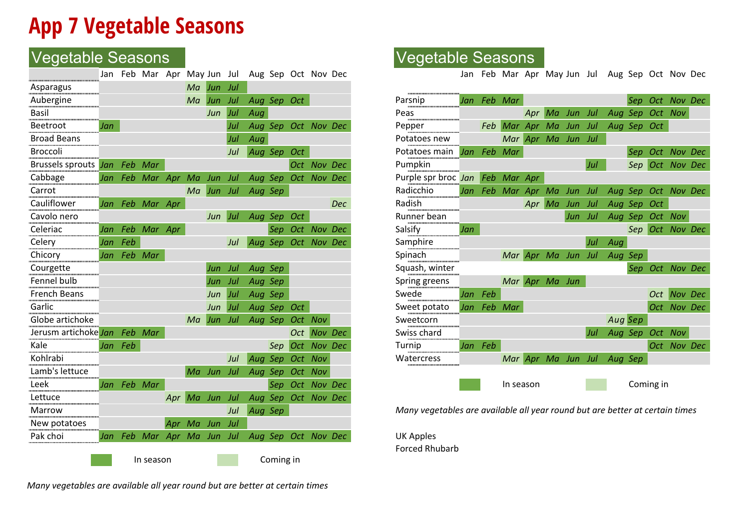## **App 7 Vegetable Seasons**

### Vegetable Seasons Vegetable Seasons

|                              | Jan |             | Feb Mar Apr May Jun Jul    |                |    |                |     |                    |           |                 | Aug Sep Oct Nov Dec |                                                                              | Jan     |         | Feb Mar Apr May Jun Jul Aug Sep Oct Nov Dec |                    |         |     |                            |                 |  |
|------------------------------|-----|-------------|----------------------------|----------------|----|----------------|-----|--------------------|-----------|-----------------|---------------------|------------------------------------------------------------------------------|---------|---------|---------------------------------------------|--------------------|---------|-----|----------------------------|-----------------|--|
| Asparagus                    |     |             |                            |                | Ma | Jun Jul        |     |                    |           |                 |                     |                                                                              |         |         |                                             |                    |         |     |                            |                 |  |
| Aubergine                    |     |             |                            |                | Ma | Jun Jul        |     | Aug Sep Oct        |           |                 |                     | Parsnip                                                                      |         |         | Jan Feb Mar                                 |                    |         |     |                            | Sep Oct Nov Dec |  |
| Basil                        |     |             |                            |                |    | Jun            | Jul | Aug                |           |                 |                     | Peas                                                                         |         |         |                                             | Apr Ma             | Jun Jul |     | Aug Sep Oct Nov            |                 |  |
| Beetroot                     | Jan |             |                            |                |    |                | Jul |                    |           |                 | Aug Sep Oct Nov Dec | Pepper                                                                       |         |         | Feb Mar Apr Ma Jun Jul                      |                    |         |     | Aug Sep Oct                |                 |  |
| <b>Broad Beans</b>           |     |             |                            |                |    |                | Jul | Aug                |           |                 |                     | Potatoes new                                                                 |         |         |                                             | Mar Apr Ma Jun Jul |         |     |                            |                 |  |
| <b>Broccoli</b>              |     |             |                            |                |    |                | Jul | Aug Sep Oct        |           |                 |                     | Potatoes main                                                                |         |         | Jan Feb Mar                                 |                    |         |     |                            | Sep Oct Nov Dec |  |
| Brussels sprouts Jan Feb Mar |     |             |                            |                |    |                |     |                    |           |                 | Oct Nov Dec         | Pumpkin                                                                      |         |         |                                             |                    |         | Jul |                            | Sep Oct Nov Dec |  |
| Cabbage                      |     |             | Jan Feb Mar Apr            |                | Ma | Jun Jul        |     |                    |           |                 | Aug Sep Oct Nov Dec | Purple spr broc Jan                                                          |         |         | Feb Mar Apr                                 |                    |         |     |                            |                 |  |
| Carrot                       |     |             |                            |                |    |                |     | Ma Jun Jul Aug Sep |           |                 |                     | Radicchio                                                                    |         |         | Jan Feb Mar Apr Ma Jun Jul                  |                    |         |     | Aug Sep Oct Nov Dec        |                 |  |
| Cauliflower                  |     |             | Jan Feb Mar Apr            |                |    |                |     |                    |           |                 | Dec                 | Radish                                                                       |         |         |                                             | Apr Ma             | Jun Jul |     | Aug Sep Oct                |                 |  |
| Cavolo nero                  |     |             |                            |                |    | Jun Jul        |     | Aug Sep Oct        |           |                 |                     | Runner bean                                                                  |         |         |                                             |                    | Jun Jul |     | Aug Sep Oct Nov            |                 |  |
| Celeriac                     |     |             | Jan Feb Mar Apr            |                |    |                |     |                    |           |                 | Sep Oct Nov Dec     | Salsify                                                                      | Jan     |         |                                             |                    |         |     |                            | Sep Oct Nov Dec |  |
| Celery                       |     | Jan Feb     |                            |                |    |                | Jul |                    |           |                 | Aug Sep Oct Nov Dec | Samphire                                                                     |         |         |                                             |                    |         | Jul | Aug                        |                 |  |
| Chicory                      |     | Jan Feb Mar |                            |                |    |                |     |                    |           |                 |                     | Spinach                                                                      |         |         |                                             |                    |         |     | Mar Apr Ma Jun Jul Aug Sep |                 |  |
| Courgette                    |     |             |                            |                |    | Jun            | Jul | Aug Sep            |           |                 |                     | Squash, winter                                                               |         |         |                                             |                    |         |     |                            | Sep Oct Nov Dec |  |
| Fennel bulb                  |     |             |                            |                |    | Jun            | Jul | Aug Sep            |           |                 |                     | Spring greens                                                                |         |         | Mar Apr Ma Jun                              |                    |         |     |                            |                 |  |
| <b>French Beans</b>          |     |             |                            |                |    | Jun            | Jul | Aug Sep            |           |                 |                     | Swede                                                                        |         | Jan Feb |                                             |                    |         |     |                            | Oct Nov Dec     |  |
| Garlic                       |     |             |                            |                |    | Jun            | Jul | Aug Sep Oct        |           |                 |                     | Sweet potato                                                                 |         |         | Jan Feb Mar                                 |                    |         |     |                            | Oct Nov Dec     |  |
| Globe artichoke              |     |             |                            |                |    | Ma Jun Jul     |     |                    |           | Aug Sep Oct Nov |                     | Sweetcorn                                                                    |         |         |                                             |                    |         |     | Aug Sep                    |                 |  |
| Jerusm artichoke Jan Feb Mar |     |             |                            |                |    |                |     |                    |           |                 | Oct Nov Dec         | Swiss chard                                                                  |         |         |                                             |                    |         | Jul | Aug Sep Oct Nov            |                 |  |
| Kale                         |     | Jan Feb     |                            |                |    |                |     |                    |           |                 | Sep Oct Nov Dec     | Turnip                                                                       | Jan Feb |         |                                             |                    |         |     |                            | Oct Nov Dec     |  |
| Kohlrabi                     |     |             |                            |                |    |                | Jul |                    |           | Aug Sep Oct Nov |                     | Watercress                                                                   |         |         |                                             |                    |         |     | Mar Apr Ma Jun Jul Aug Sep |                 |  |
| Lamb's lettuce               |     |             |                            |                |    | Ma Jun Jul     |     |                    |           | Aug Sep Oct Nov |                     |                                                                              |         |         |                                             |                    |         |     |                            |                 |  |
| Leek                         |     | Jan Feb Mar |                            |                |    |                |     |                    |           |                 | Sep Oct Nov Dec     |                                                                              |         |         | In season                                   |                    |         |     |                            | Coming in       |  |
| Lettuce                      |     |             |                            |                |    | Apr Ma Jun Jul |     |                    |           |                 | Aug Sep Oct Nov Dec |                                                                              |         |         |                                             |                    |         |     |                            |                 |  |
| Marrow                       |     |             |                            |                |    |                | Jul | Aug Sep            |           |                 |                     | Many vegetables are available all year round but are better at certain times |         |         |                                             |                    |         |     |                            |                 |  |
| New potatoes                 |     |             |                            | Apr Ma Jun Jul |    |                |     |                    |           |                 |                     |                                                                              |         |         |                                             |                    |         |     |                            |                 |  |
| Pak choi                     |     |             | Jan Feb Mar Apr Ma Jun Jul |                |    |                |     |                    |           |                 | Aug Sep Oct Nov Dec | <b>UK Apples</b>                                                             |         |         |                                             |                    |         |     |                            |                 |  |
|                              |     |             |                            |                |    |                |     |                    |           |                 |                     | <b>Forced Rhubarb</b>                                                        |         |         |                                             |                    |         |     |                            |                 |  |
|                              |     |             | In season                  |                |    |                |     |                    | Coming in |                 |                     |                                                                              |         |         |                                             |                    |         |     |                            |                 |  |

|     |             |                    | Ma | Jun | Jul        |         | Aug Sep Oct |                     |             |
|-----|-------------|--------------------|----|-----|------------|---------|-------------|---------------------|-------------|
|     |             |                    |    | Jun | Jul        | Aug     |             |                     |             |
| Jan |             |                    |    |     | Jul        |         |             | Aug Sep Oct Nov Dec |             |
|     |             |                    |    |     | Jul        | Aug     |             |                     |             |
|     |             |                    |    |     | Jul        |         | Aug Sep Oct |                     |             |
|     | Jan Feb Mar |                    |    |     |            |         |             |                     | Oct Nov Dec |
|     |             | Jan Feb Mar Apr Ma |    | Jun | Jul        |         |             | Aug Sep Oct Nov Dec |             |
|     |             |                    | Ma | Jun | Jul        | Aug Sep |             |                     |             |
|     |             | Jan Feb Mar Apr    |    |     |            |         |             |                     | Dec         |
|     |             |                    |    | Jun | <b>Jul</b> |         | Aug Sep Oct |                     |             |
|     |             | Jan Feb Mar Apr    |    |     |            |         | Sep Oct     |                     | Nov Dec     |
|     | Jan Feb     |                    |    |     | Jul        |         |             | Aug Sep Oct Nov Dec |             |
|     | Jan Feb Mar |                    |    |     |            |         |             |                     |             |
|     |             |                    |    | Jun | Jul        | Aug Sep |             |                     |             |
|     |             |                    |    | Jun | Jul        | Aug Sep |             |                     |             |
|     |             |                    |    | Jun | Jul        | Aug Sep |             |                     |             |
|     |             |                    |    | Jun | $ $ Jul    |         | Aug Sep Oct |                     |             |
|     |             |                    | Ma | Jun | <b>Jul</b> |         |             | Aug Sep Oct Nov     |             |
|     | Jan Feb Mar |                    |    |     |            |         |             |                     | Oct Nov Dec |
|     | Jan Feb     |                    |    |     |            |         | Sep         | Oct Nov Dec         |             |
|     |             |                    |    |     | Jul        | Aug     | Sep         | Oct Nov             |             |
|     |             |                    | Ma | Jun | Jul        |         | Aug Sep     | Oct Nov             |             |
|     | Jan Feb Mar |                    |    |     |            |         |             | Sep Oct Nov Dec     |             |

*Many vegetables are available all year round but are better at certain times*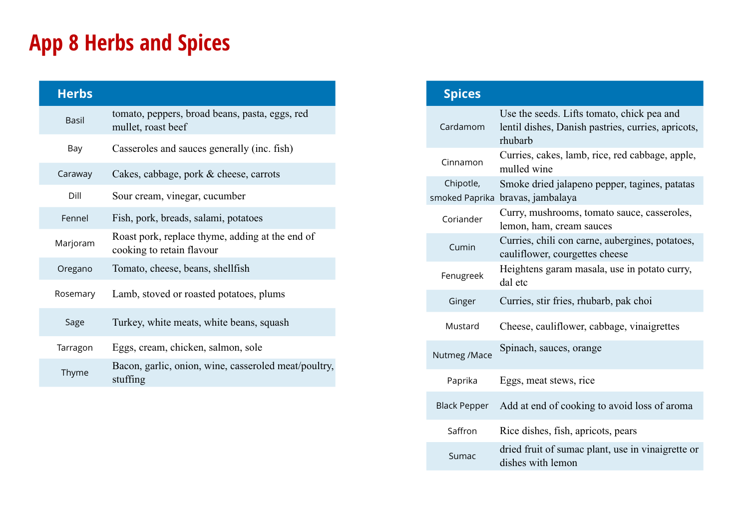## **App 8 Herbs and Spices**

| <b>Herbs</b> |                                                                              |  |  |  |  |  |  |  |
|--------------|------------------------------------------------------------------------------|--|--|--|--|--|--|--|
| <b>Basil</b> | tomato, peppers, broad beans, pasta, eggs, red<br>mullet, roast beef         |  |  |  |  |  |  |  |
| Bay          | Casseroles and sauces generally (inc. fish)                                  |  |  |  |  |  |  |  |
| Caraway      | Cakes, cabbage, pork & cheese, carrots                                       |  |  |  |  |  |  |  |
| Dill         | Sour cream, vinegar, cucumber                                                |  |  |  |  |  |  |  |
| Fennel       | Fish, pork, breads, salami, potatoes                                         |  |  |  |  |  |  |  |
| Marjoram     | Roast pork, replace thyme, adding at the end of<br>cooking to retain flavour |  |  |  |  |  |  |  |
| Oregano      | Tomato, cheese, beans, shellfish                                             |  |  |  |  |  |  |  |
| Rosemary     | Lamb, stoved or roasted potatoes, plums                                      |  |  |  |  |  |  |  |
| Sage         | Turkey, white meats, white beans, squash                                     |  |  |  |  |  |  |  |
| Tarragon     | Eggs, cream, chicken, salmon, sole                                           |  |  |  |  |  |  |  |
| Thyme        | Bacon, garlic, onion, wine, casseroled meat/poultry,<br>stuffing             |  |  |  |  |  |  |  |

| <b>Spices</b>       |                                                                                                             |
|---------------------|-------------------------------------------------------------------------------------------------------------|
| Cardamom            | Use the seeds. Lifts tomato, chick pea and<br>lentil dishes, Danish pastries, curries, apricots,<br>rhubarb |
| Cinnamon            | Curries, cakes, lamb, rice, red cabbage, apple,<br>mulled wine                                              |
| Chipotle,           | Smoke dried jalapeno pepper, tagines, patatas<br>smoked Paprika bravas, jambalaya                           |
| Coriander           | Curry, mushrooms, tomato sauce, casseroles,<br>lemon, ham, cream sauces                                     |
| Cumin               | Curries, chili con carne, aubergines, potatoes,<br>cauliflower, courgettes cheese                           |
| Fenugreek           | Heightens garam masala, use in potato curry,<br>dal etc                                                     |
| Ginger              | Curries, stir fries, rhubarb, pak choi                                                                      |
| Mustard             | Cheese, cauliflower, cabbage, vinaigrettes                                                                  |
| Nutmeg /Mace        | Spinach, sauces, orange                                                                                     |
| Paprika             | Eggs, meat stews, rice                                                                                      |
| <b>Black Pepper</b> | Add at end of cooking to avoid loss of aroma                                                                |
| Saffron             | Rice dishes, fish, apricots, pears                                                                          |
| Sumac               | dried fruit of sumac plant, use in vinaigrette or<br>dishes with lemon                                      |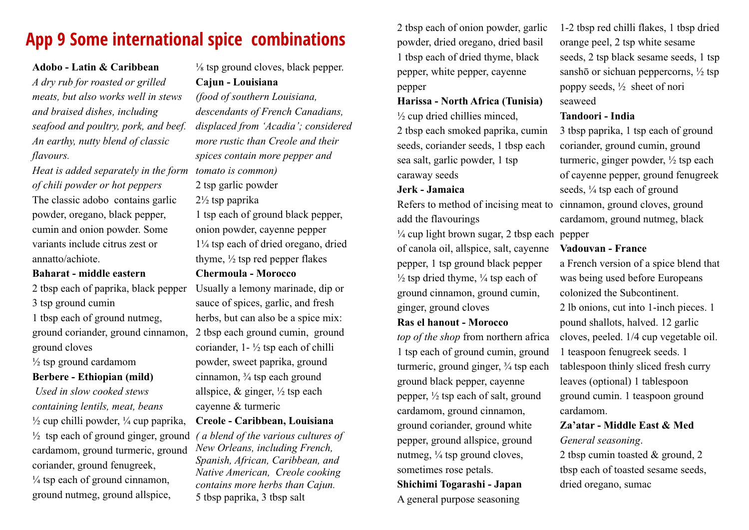### **App 9 Some international spice combinations**

#### **Adobo - Latin & Caribbean**

*A dry rub for roasted or grilled meats, but also works well in stews and braised dishes, including seafood and poultry, pork, and beef. An earthy, nutty blend of classic flavours.* 

*Heat is added separately in the form tomato is common) of chili powder or hot peppers*  The classic adobo contains garlic powder, oregano, black pepper, cumin and onion powder. Some variants include citrus zest or annatto/achiote.

### **Baharat - middle eastern**

2 tbsp each of paprika, black pepper Usually a lemony marinade, dip or 3 tsp ground cumin

1 tbsp each of ground nutmeg, ground cloves

 $\frac{1}{2}$  tsp ground cardamom

### **Berbere - Ethiopian (mild)**

 *Used in slow cooked stews containing lentils, meat, beans*  $\frac{1}{2}$  cup chilli powder,  $\frac{1}{4}$  cup paprika, ½ tsp each of ground ginger, ground *( a blend of the various cultures of*  cardamom, ground turmeric, ground coriander, ground fenugreek,  $\frac{1}{4}$  tsp each of ground cinnamon. ground nutmeg, ground allspice,

 $\frac{1}{8}$  tsp ground cloves, black pepper. **Cajun - Louisiana**

*(food of southern Louisiana, descendants of French Canadians, displaced from 'Acadia'; considered more rustic than Creole and their spices contain more pepper and* 

2 tsp garlic powder

2½ tsp paprika

1 tsp each of ground black pepper, onion powder, cayenne pepper 1¼ tsp each of dried oregano, dried thyme,  $\frac{1}{2}$  tsp red pepper flakes

### **Chermoula - Morocco**

ground coriander, ground cinnamon, 2 tbsp each ground cumin, ground sauce of spices, garlic, and fresh herbs, but can also be a spice mix: coriander,  $1 - \frac{1}{2}$  tsp each of chilli powder, sweet paprika, ground cinnamon,  $\frac{3}{4}$  tsp each ground allspice,  $\&$  ginger,  $\frac{1}{2}$  tsp each cayenne & turmeric

### **Creole - Caribbean, Louisiana**

*New Orleans, including French, Spanish, African, Caribbean, and Native American, Creole cooking contains more herbs than Cajun.*  5 tbsp paprika, 3 tbsp salt

2 tbsp each of onion powder, garlic powder, dried oregano, dried basil 1 tbsp each of dried thyme, black pepper, white pepper, cayenne pepper

**Harissa - North Africa (Tunisia)**  $\frac{1}{2}$  cup dried chillies minced, 2 tbsp each smoked paprika, cumin seeds, coriander seeds, 1 tbsp each

sea salt, garlic powder, 1 tsp caraway seeds

#### **Jerk - Jamaica**

Refers to method of incising meat to cinnamon, ground cloves, ground add the flavourings

¼ cup light brown sugar, 2 tbsp each pepper of canola oil, allspice, salt, cayenne pepper, 1 tsp ground black pepper  $\frac{1}{2}$  tsp dried thyme,  $\frac{1}{4}$  tsp each of ground cinnamon, ground cumin, ginger, ground cloves

### **Ras el hanout - Morocco**

*top of the shop* from northern africa 1 tsp each of ground cumin, ground turmeric, ground ginger,  $\frac{3}{4}$  tsp each ground black pepper, cayenne pepper, ½ tsp each of salt, ground cardamom, ground cinnamon, ground coriander, ground white pepper, ground allspice, ground nutmeg,  $\frac{1}{4}$  tsp ground cloves, sometimes rose petals.

### **Shichimi Togarashi - Japan** A general purpose seasoning

1-2 tbsp red chilli flakes, 1 tbsp dried orange peel, 2 tsp white sesame seeds, 2 tsp black sesame seeds, 1 tsp sanshō or sichuan peppercorns,  $\frac{1}{2}$  tsp poppy seeds, ½ sheet of nori seaweed

### **Tandoori - India**

3 tbsp paprika, 1 tsp each of ground coriander, ground cumin, ground turmeric, ginger powder, ½ tsp each of cayenne pepper, ground fenugreek seeds, ¼ tsp each of ground cardamom, ground nutmeg, black

### **Vadouvan - France**

a French version of a spice blend that was being used before Europeans colonized the Subcontinent.

2 lb onions, cut into 1-inch pieces. 1 pound shallots, halved. 12 garlic cloves, peeled. 1/4 cup vegetable oil. 1 teaspoon fenugreek seeds. 1 tablespoon thinly sliced fresh curry leaves (optional) 1 tablespoon ground cumin. 1 teaspoon ground cardamom.

### **Za'atar - Middle East & Med** *General seasoning*.

2 tbsp cumin toasted & ground, 2 tbsp each of toasted sesame seeds, dried oregano, sumac